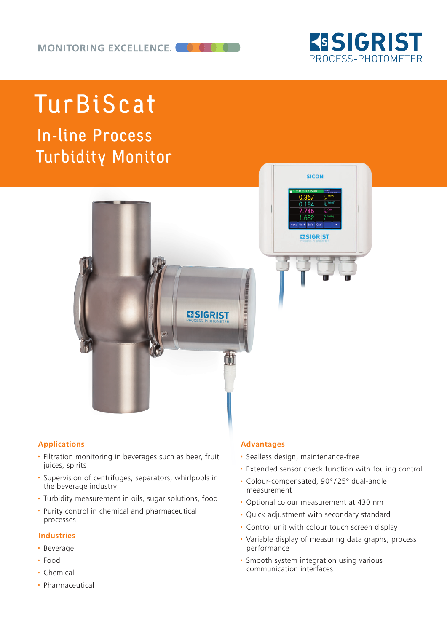

# TurBiScat

In-line Process Turbidity Monitor



## **Applications**

- Filtration monitoring in beverages such as beer, fruit juices, spirits
- Supervision of centrifuges, separators, whirlpools in the beverage industry
- Turbidity measurement in oils, sugar solutions, food
- Purity control in chemical and pharmaceutical processes

### **Industries**

- Beverage
- Food
- Chemical
- Pharmaceutical

#### **Advantages**

- Sealless design, maintenance-free
- Extended sensor check function with fouling control
- Colour-compensated, 90° / 25° dual-angle measurement
- Optional colour measurement at 430 nm
- Quick adjustment with secondary standard
- Control unit with colour touch screen display
- Variable display of measuring data graphs, process performance
- Smooth system integration using various communication interfaces